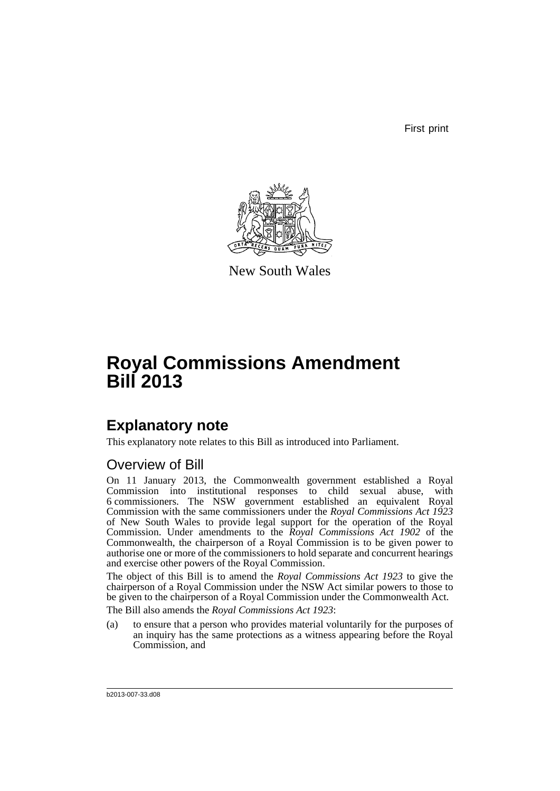First print



New South Wales

# **Royal Commissions Amendment Bill 2013**

## **Explanatory note**

This explanatory note relates to this Bill as introduced into Parliament.

### Overview of Bill

On 11 January 2013, the Commonwealth government established a Royal Commission into institutional responses to child sexual abuse, with 6 commissioners. The NSW government established an equivalent Royal Commission with the same commissioners under the *Royal Commissions Act 1923* of New South Wales to provide legal support for the operation of the Royal Commission. Under amendments to the *Royal Commissions Act 1902* of the Commonwealth, the chairperson of a Royal Commission is to be given power to authorise one or more of the commissioners to hold separate and concurrent hearings and exercise other powers of the Royal Commission.

The object of this Bill is to amend the *Royal Commissions Act 1923* to give the chairperson of a Royal Commission under the NSW Act similar powers to those to be given to the chairperson of a Royal Commission under the Commonwealth Act. The Bill also amends the *Royal Commissions Act 1923*:

(a) to ensure that a person who provides material voluntarily for the purposes of an inquiry has the same protections as a witness appearing before the Royal Commission, and

b2013-007-33.d08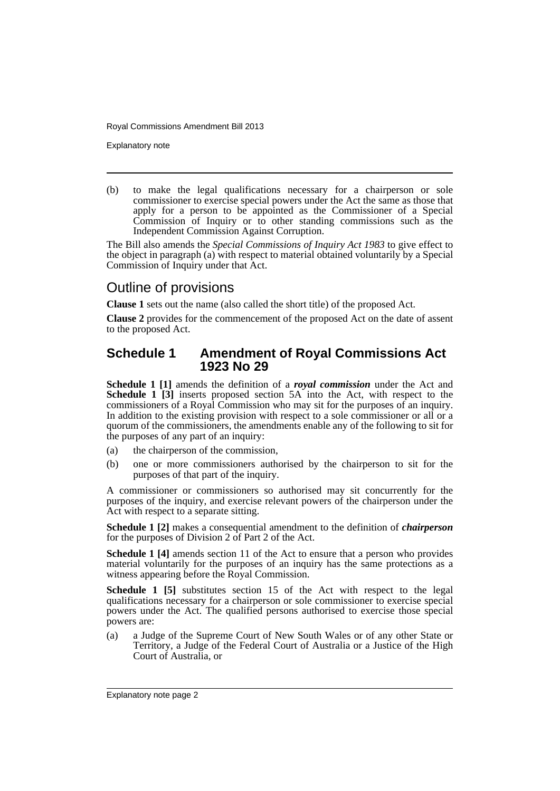Explanatory note

(b) to make the legal qualifications necessary for a chairperson or sole commissioner to exercise special powers under the Act the same as those that apply for a person to be appointed as the Commissioner of a Special Commission of Inquiry or to other standing commissions such as the Independent Commission Against Corruption.

The Bill also amends the *Special Commissions of Inquiry Act 1983* to give effect to the object in paragraph (a) with respect to material obtained voluntarily by a Special Commission of Inquiry under that Act.

### Outline of provisions

**Clause 1** sets out the name (also called the short title) of the proposed Act.

**Clause 2** provides for the commencement of the proposed Act on the date of assent to the proposed Act.

#### **Schedule 1 Amendment of Royal Commissions Act 1923 No 29**

**Schedule 1 [1]** amends the definition of a *royal commission* under the Act and **Schedule 1** [3] inserts proposed section 5A into the Act, with respect to the commissioners of a Royal Commission who may sit for the purposes of an inquiry. In addition to the existing provision with respect to a sole commissioner or all or a quorum of the commissioners, the amendments enable any of the following to sit for the purposes of any part of an inquiry:

- (a) the chairperson of the commission,
- (b) one or more commissioners authorised by the chairperson to sit for the purposes of that part of the inquiry.

A commissioner or commissioners so authorised may sit concurrently for the purposes of the inquiry, and exercise relevant powers of the chairperson under the Act with respect to a separate sitting.

**Schedule 1 [2]** makes a consequential amendment to the definition of *chairperson* for the purposes of Division 2 of Part 2 of the Act.

**Schedule 1 [4]** amends section 11 of the Act to ensure that a person who provides material voluntarily for the purposes of an inquiry has the same protections as a witness appearing before the Royal Commission.

**Schedule 1 [5]** substitutes section 15 of the Act with respect to the legal qualifications necessary for a chairperson or sole commissioner to exercise special powers under the Act. The qualified persons authorised to exercise those special powers are:

(a) a Judge of the Supreme Court of New South Wales or of any other State or Territory, a Judge of the Federal Court of Australia or a Justice of the High Court of Australia, or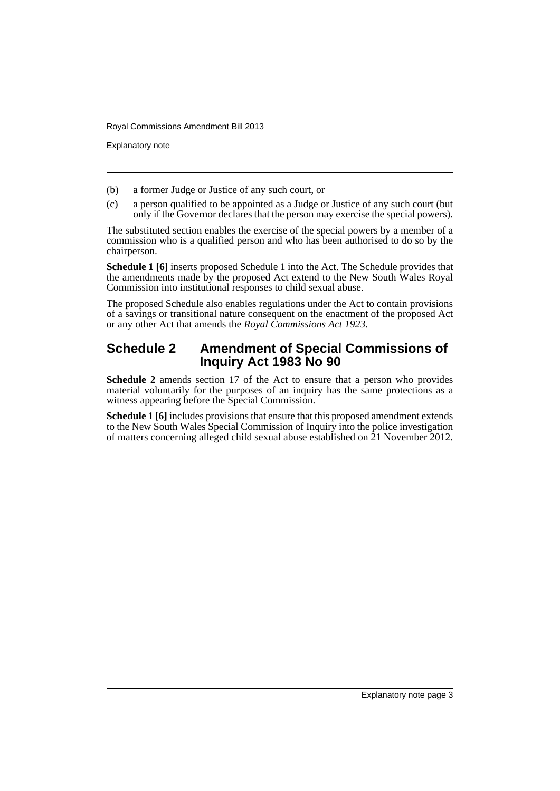Explanatory note

- (b) a former Judge or Justice of any such court, or
- (c) a person qualified to be appointed as a Judge or Justice of any such court (but only if the Governor declares that the person may exercise the special powers).

The substituted section enables the exercise of the special powers by a member of a commission who is a qualified person and who has been authorised to do so by the chairperson.

**Schedule 1 [6]** inserts proposed Schedule 1 into the Act. The Schedule provides that the amendments made by the proposed Act extend to the New South Wales Royal Commission into institutional responses to child sexual abuse.

The proposed Schedule also enables regulations under the Act to contain provisions of a savings or transitional nature consequent on the enactment of the proposed Act or any other Act that amends the *Royal Commissions Act 1923*.

### **Schedule 2 Amendment of Special Commissions of Inquiry Act 1983 No 90**

**Schedule 2** amends section 17 of the Act to ensure that a person who provides material voluntarily for the purposes of an inquiry has the same protections as a witness appearing before the Special Commission.

**Schedule 1 [6]** includes provisions that ensure that this proposed amendment extends to the New South Wales Special Commission of Inquiry into the police investigation of matters concerning alleged child sexual abuse established on 21 November 2012.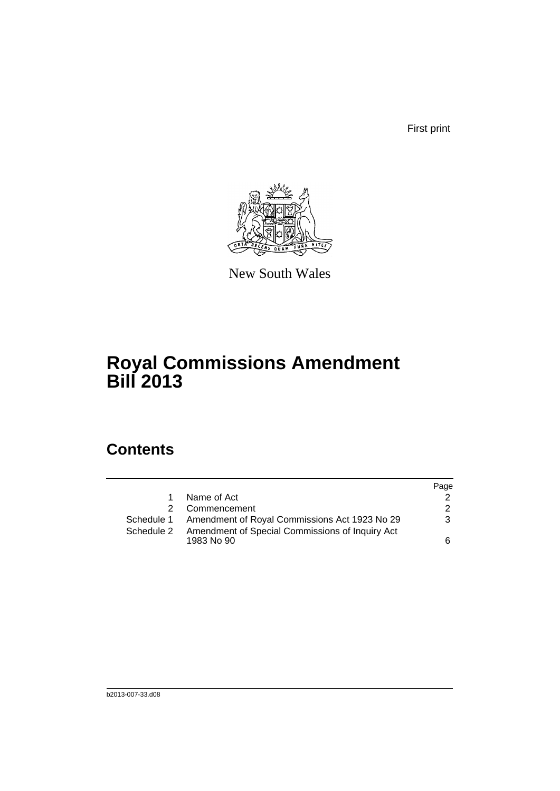First print



New South Wales

## **Royal Commissions Amendment Bill 2013**

### **Contents**

|            |                                                               | Page          |
|------------|---------------------------------------------------------------|---------------|
|            | Name of Act                                                   |               |
|            | Commencement                                                  | $\mathcal{P}$ |
| Schedule 1 | Amendment of Royal Commissions Act 1923 No 29                 | 3             |
| Schedule 2 | Amendment of Special Commissions of Inquiry Act<br>1983 No 90 | 6             |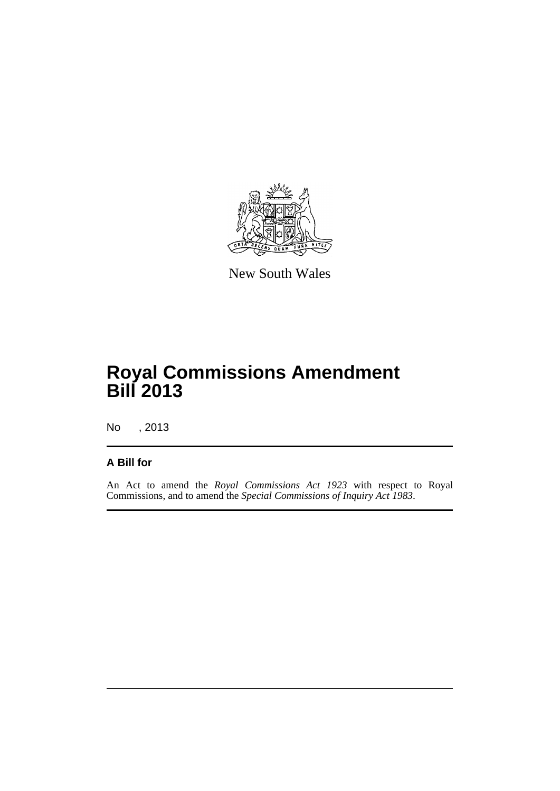

New South Wales

## **Royal Commissions Amendment Bill 2013**

No , 2013

#### **A Bill for**

An Act to amend the *Royal Commissions Act 1923* with respect to Royal Commissions, and to amend the *Special Commissions of Inquiry Act 1983*.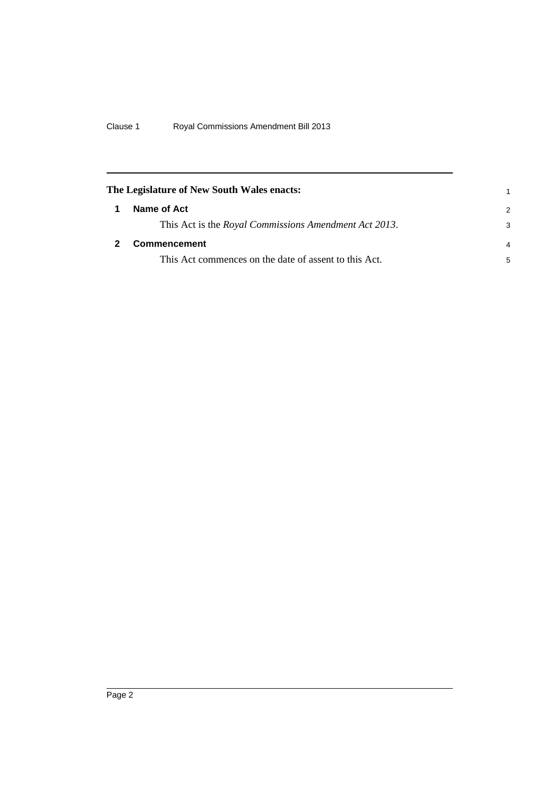<span id="page-7-1"></span><span id="page-7-0"></span>

| The Legislature of New South Wales enacts: |                                                       |                |
|--------------------------------------------|-------------------------------------------------------|----------------|
|                                            | Name of Act                                           | $\mathcal{P}$  |
|                                            | This Act is the Royal Commissions Amendment Act 2013. | 3              |
|                                            | <b>Commencement</b>                                   | $\overline{4}$ |
|                                            | This Act commences on the date of assent to this Act. | 5              |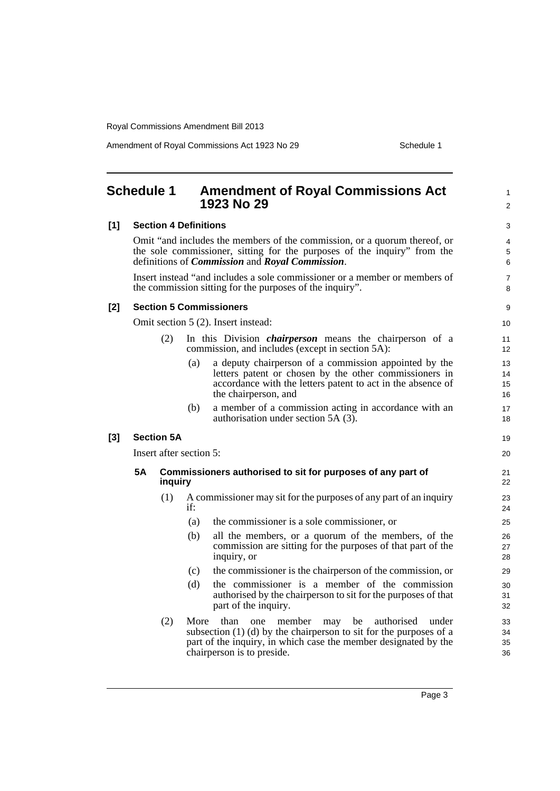Amendment of Royal Commissions Act 1923 No 29 Schedule 1

<span id="page-8-0"></span>

|       | <b>Schedule 1</b> |                   |                              | <b>Amendment of Royal Commissions Act</b><br>1923 No 29                                                                                                                                                                        | 1<br>$\overline{2}$   |
|-------|-------------------|-------------------|------------------------------|--------------------------------------------------------------------------------------------------------------------------------------------------------------------------------------------------------------------------------|-----------------------|
| [1]   |                   |                   | <b>Section 4 Definitions</b> |                                                                                                                                                                                                                                | 3                     |
|       |                   |                   |                              | Omit "and includes the members of the commission, or a quorum thereof, or<br>the sole commissioner, sitting for the purposes of the inquiry" from the<br>definitions of <i>Commission</i> and <i>Royal Commission</i> .        | 4<br>5<br>6           |
|       |                   |                   |                              | Insert instead "and includes a sole commissioner or a member or members of<br>the commission sitting for the purposes of the inquiry".                                                                                         | 7<br>8                |
| $[2]$ |                   |                   |                              | <b>Section 5 Commissioners</b>                                                                                                                                                                                                 | 9                     |
|       |                   |                   |                              | Omit section 5 (2). Insert instead:                                                                                                                                                                                            | 10 <sup>°</sup>       |
|       |                   | (2)               |                              | In this Division <i>chairperson</i> means the chairperson of a<br>commission, and includes (except in section 5A):                                                                                                             | 11<br>12 <sup>2</sup> |
|       |                   |                   | (a)                          | a deputy chairperson of a commission appointed by the<br>letters patent or chosen by the other commissioners in<br>accordance with the letters patent to act in the absence of<br>the chairperson, and                         | 13<br>14<br>15<br>16  |
|       |                   |                   | (b)                          | a member of a commission acting in accordance with an<br>authorisation under section 5A (3).                                                                                                                                   | 17<br>18              |
| $[3]$ |                   | <b>Section 5A</b> |                              |                                                                                                                                                                                                                                | 19                    |
|       |                   |                   | Insert after section 5:      |                                                                                                                                                                                                                                | 20                    |
|       | 5Α                | inquiry           |                              | Commissioners authorised to sit for purposes of any part of                                                                                                                                                                    | 21<br>22              |
|       |                   | (1)               | if:                          | A commissioner may sit for the purposes of any part of an inquiry                                                                                                                                                              | 23<br>24              |
|       |                   |                   | (a)                          | the commissioner is a sole commissioner, or                                                                                                                                                                                    | 25                    |
|       |                   |                   | (b)                          | all the members, or a quorum of the members, of the<br>commission are sitting for the purposes of that part of the<br>inquiry, or                                                                                              | 26<br>27<br>28        |
|       |                   |                   | (c)                          | the commissioner is the chairperson of the commission, or                                                                                                                                                                      | 29                    |
|       |                   |                   | (d)                          | the commissioner is a member of the commission<br>authorised by the chairperson to sit for the purposes of that<br>part of the inquiry.                                                                                        | 30<br>31<br>32        |
|       |                   | (2)               | More                         | than<br>may be authorised<br>member<br>one<br>under<br>subsection $(1)$ $(d)$ by the chairperson to sit for the purposes of a<br>part of the inquiry, in which case the member designated by the<br>chairperson is to preside. | 33<br>34<br>35<br>36  |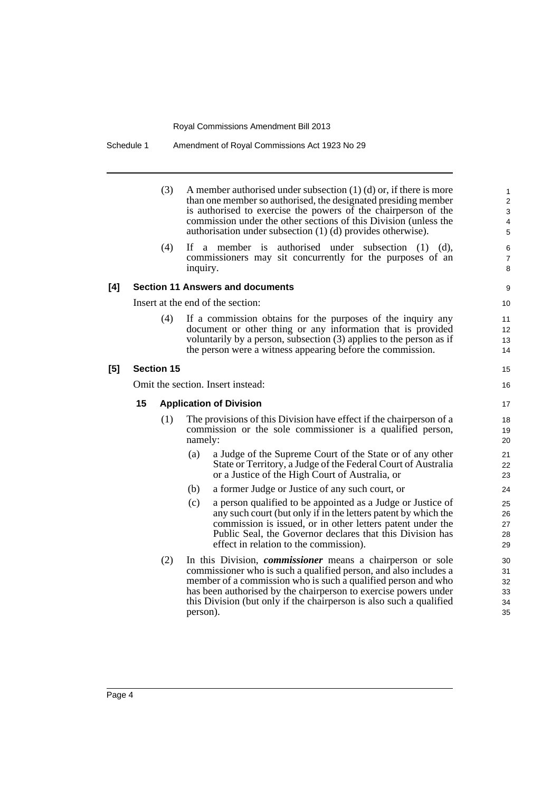Schedule 1 Amendment of Royal Commissions Act 1923 No 29

|     |    | (3)               |          | A member authorised under subsection $(1)$ $(d)$ or, if there is more<br>than one member so authorised, the designated presiding member<br>is authorised to exercise the powers of the chairperson of the<br>commission under the other sections of this Division (unless the<br>authorisation under subsection (1) (d) provides otherwise).     | 1<br>$\overline{c}$<br>3<br>4<br>5 |
|-----|----|-------------------|----------|--------------------------------------------------------------------------------------------------------------------------------------------------------------------------------------------------------------------------------------------------------------------------------------------------------------------------------------------------|------------------------------------|
|     |    | (4)               | inquiry. | If a member is authorised under subsection $(1)$ $(d)$ ,<br>commissioners may sit concurrently for the purposes of an                                                                                                                                                                                                                            | 6<br>$\overline{7}$<br>8           |
| [4] |    |                   |          | <b>Section 11 Answers and documents</b>                                                                                                                                                                                                                                                                                                          | 9                                  |
|     |    |                   |          | Insert at the end of the section:                                                                                                                                                                                                                                                                                                                | 10                                 |
|     |    | (4)               |          | If a commission obtains for the purposes of the inquiry any<br>document or other thing or any information that is provided<br>voluntarily by a person, subsection (3) applies to the person as if<br>the person were a witness appearing before the commission.                                                                                  | 11<br>12<br>13<br>14               |
| [5] |    | <b>Section 15</b> |          |                                                                                                                                                                                                                                                                                                                                                  | 15                                 |
|     |    |                   |          | Omit the section. Insert instead:                                                                                                                                                                                                                                                                                                                | 16                                 |
|     | 15 |                   |          | <b>Application of Division</b>                                                                                                                                                                                                                                                                                                                   | 17                                 |
|     |    | (1)               | namely:  | The provisions of this Division have effect if the chairperson of a<br>commission or the sole commissioner is a qualified person,                                                                                                                                                                                                                | 18<br>19<br>20                     |
|     |    |                   | (a)      | a Judge of the Supreme Court of the State or of any other<br>State or Territory, a Judge of the Federal Court of Australia<br>or a Justice of the High Court of Australia, or                                                                                                                                                                    | 21<br>22<br>23                     |
|     |    |                   | (b)      | a former Judge or Justice of any such court, or                                                                                                                                                                                                                                                                                                  | 24                                 |
|     |    |                   | (c)      | a person qualified to be appointed as a Judge or Justice of<br>any such court (but only if in the letters patent by which the<br>commission is issued, or in other letters patent under the<br>Public Seal, the Governor declares that this Division has<br>effect in relation to the commission).                                               | 25<br>26<br>27<br>28<br>29         |
|     |    | (2)               | person). | In this Division, <i>commissioner</i> means a chairperson or sole<br>commissioner who is such a qualified person, and also includes a<br>member of a commission who is such a qualified person and who<br>has been authorised by the chairperson to exercise powers under<br>this Division (but only if the chairperson is also such a qualified | 30<br>31<br>32<br>33<br>34<br>35   |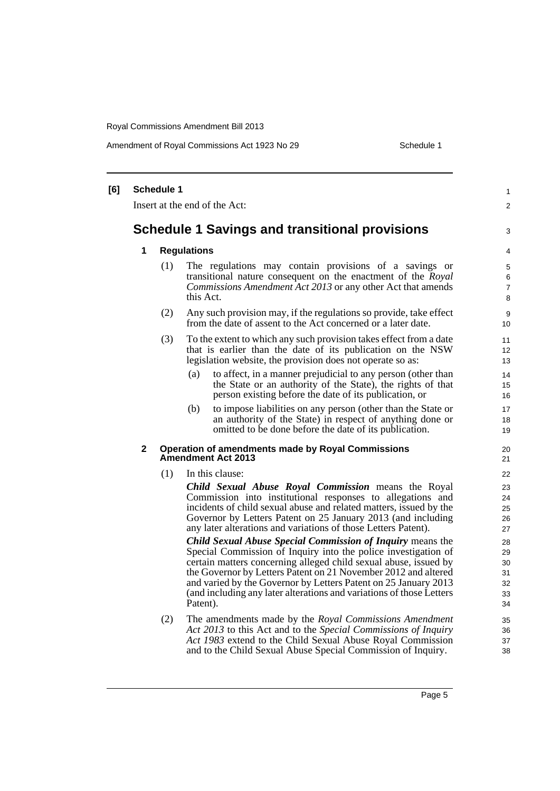Amendment of Royal Commissions Act 1923 No 29 Schedule 1

| [6] |                                                       | <b>Schedule 1</b> |                                                                                                                                                                                                                                                                                                                                                                                                                                  | $\mathbf{1}$                           |  |  |
|-----|-------------------------------------------------------|-------------------|----------------------------------------------------------------------------------------------------------------------------------------------------------------------------------------------------------------------------------------------------------------------------------------------------------------------------------------------------------------------------------------------------------------------------------|----------------------------------------|--|--|
|     | Insert at the end of the Act:                         |                   |                                                                                                                                                                                                                                                                                                                                                                                                                                  |                                        |  |  |
|     | <b>Schedule 1 Savings and transitional provisions</b> |                   |                                                                                                                                                                                                                                                                                                                                                                                                                                  |                                        |  |  |
|     | 1                                                     |                   | <b>Regulations</b>                                                                                                                                                                                                                                                                                                                                                                                                               |                                        |  |  |
|     |                                                       | (1)               | The regulations may contain provisions of a savings or<br>transitional nature consequent on the enactment of the Royal<br>Commissions Amendment Act 2013 or any other Act that amends<br>this Act.                                                                                                                                                                                                                               | 5<br>6<br>$\overline{7}$<br>8          |  |  |
|     |                                                       | (2)               | Any such provision may, if the regulations so provide, take effect<br>from the date of assent to the Act concerned or a later date.                                                                                                                                                                                                                                                                                              | 9<br>10 <sup>°</sup>                   |  |  |
|     |                                                       | (3)               | To the extent to which any such provision takes effect from a date<br>that is earlier than the date of its publication on the NSW<br>legislation website, the provision does not operate so as:                                                                                                                                                                                                                                  | 11<br>12<br>13                         |  |  |
|     |                                                       |                   | to affect, in a manner prejudicial to any person (other than<br>(a)<br>the State or an authority of the State), the rights of that<br>person existing before the date of its publication, or                                                                                                                                                                                                                                     | 14<br>15<br>16                         |  |  |
|     |                                                       |                   | to impose liabilities on any person (other than the State or<br>(b)<br>an authority of the State) in respect of anything done or<br>omitted to be done before the date of its publication.                                                                                                                                                                                                                                       | 17<br>18<br>19                         |  |  |
|     | $\mathbf{2}$                                          |                   | <b>Operation of amendments made by Royal Commissions</b><br><b>Amendment Act 2013</b>                                                                                                                                                                                                                                                                                                                                            | 20<br>21                               |  |  |
|     |                                                       | (1)               | In this clause:                                                                                                                                                                                                                                                                                                                                                                                                                  | 22                                     |  |  |
|     |                                                       |                   | Child Sexual Abuse Royal Commission means the Royal<br>Commission into institutional responses to allegations and<br>incidents of child sexual abuse and related matters, issued by the<br>Governor by Letters Patent on 25 January 2013 (and including<br>any later alterations and variations of those Letters Patent).                                                                                                        | 23<br>24<br>25<br>26<br>27             |  |  |
|     |                                                       |                   | <b>Child Sexual Abuse Special Commission of Inquiry means the</b><br>Special Commission of Inquiry into the police investigation of<br>certain matters concerning alleged child sexual abuse, issued by<br>the Governor by Letters Patent on 21 November 2012 and altered<br>and varied by the Governor by Letters Patent on 25 January 2013<br>(and including any later alterations and variations of those Letters<br>Patent). | 28<br>29<br>30<br>31<br>32<br>33<br>34 |  |  |
|     |                                                       | (2)               | The amendments made by the Royal Commissions Amendment<br>Act 2013 to this Act and to the Special Commissions of Inquiry<br>Act 1983 extend to the Child Sexual Abuse Royal Commission<br>and to the Child Sexual Abuse Special Commission of Inquiry.                                                                                                                                                                           | 35<br>36<br>37<br>38                   |  |  |